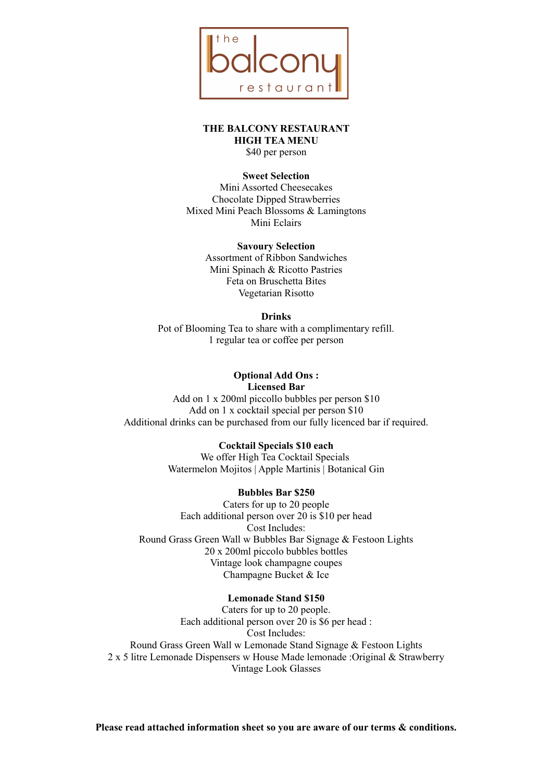

**THE BALCONY RESTAURANT HIGH TEA MENU** \$40 per person

#### **Sweet Selection**

Mini Assorted Cheesecakes Chocolate Dipped Strawberries Mixed Mini Peach Blossoms & Lamingtons Mini Eclairs

> **Savoury Selection** Assortment of Ribbon Sandwiches Mini Spinach & Ricotto Pastries Feta on Bruschetta Bites Vegetarian Risotto

#### **Drinks**

Pot of Blooming Tea to share with a complimentary refill. 1 regular tea or coffee per person

#### **Optional Add Ons : Licensed Bar**

Add on 1 x 200ml piccollo bubbles per person \$10 Add on 1 x cocktail special per person \$10 Additional drinks can be purchased from our fully licenced bar if required.

## **Cocktail Specials \$10 each**

We offer High Tea Cocktail Specials Watermelon Mojitos | Apple Martinis | Botanical Gin

# **Bubbles Bar \$250**

Caters for up to 20 people Each additional person over 20 is \$10 per head Cost Includes: Round Grass Green Wall w Bubbles Bar Signage & Festoon Lights 20 x 200ml piccolo bubbles bottles Vintage look champagne coupes Champagne Bucket & Ice

#### **Lemonade Stand \$150**

Caters for up to 20 people. Each additional person over 20 is \$6 per head : Cost Includes: Round Grass Green Wall w Lemonade Stand Signage & Festoon Lights 2 x 5 litre Lemonade Dispensers w House Made lemonade :Original & Strawberry Vintage Look Glasses

**Please read attached information sheet so you are aware of our terms & conditions.**